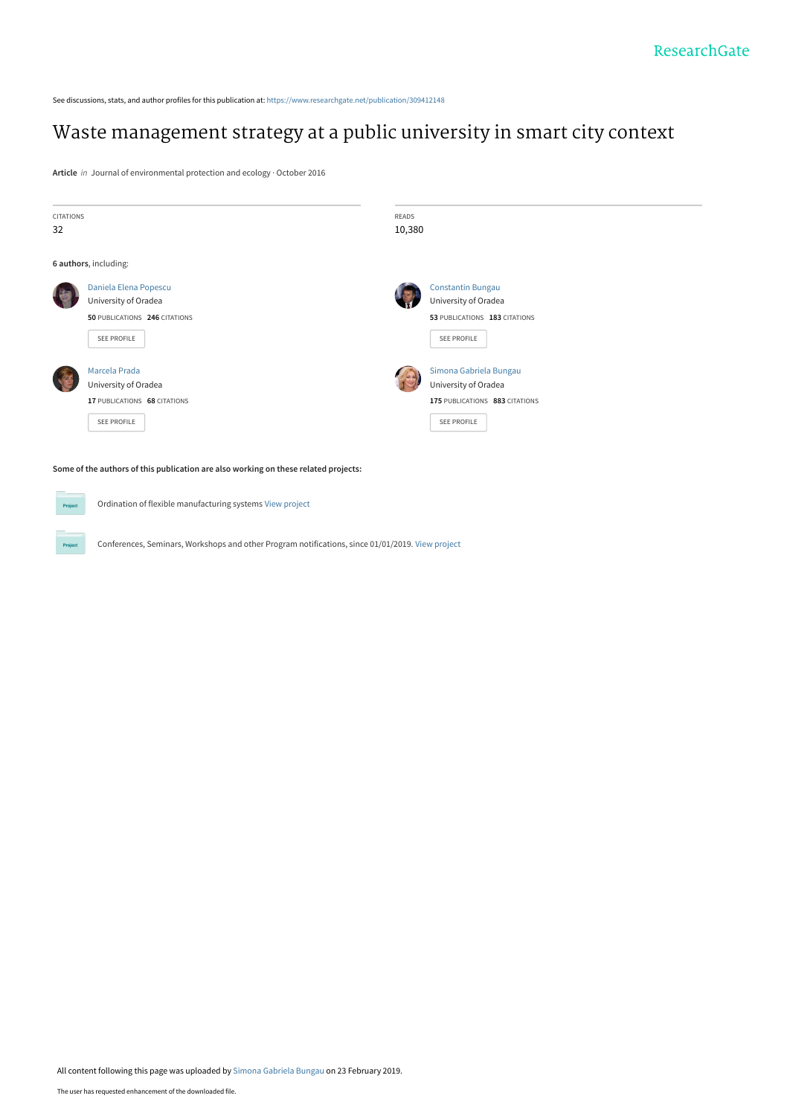See discussions, stats, and author profiles for this publication at: [https://www.researchgate.net/publication/309412148](https://www.researchgate.net/publication/309412148_Waste_management_strategy_at_a_public_university_in_smart_city_context?enrichId=rgreq-19eadef05b77ea121171b39ee92b781b-XXX&enrichSource=Y292ZXJQYWdlOzMwOTQxMjE0ODtBUzo3Mjk1MTE3MjEyMDE2NjRAMTU1MDk0MDU1NjY4Mw%3D%3D&el=1_x_2&_esc=publicationCoverPdf)

# [Waste management strategy at a public university in smart city context](https://www.researchgate.net/publication/309412148_Waste_management_strategy_at_a_public_university_in_smart_city_context?enrichId=rgreq-19eadef05b77ea121171b39ee92b781b-XXX&enrichSource=Y292ZXJQYWdlOzMwOTQxMjE0ODtBUzo3Mjk1MTE3MjEyMDE2NjRAMTU1MDk0MDU1NjY4Mw%3D%3D&el=1_x_3&_esc=publicationCoverPdf)

**Article** in Journal of environmental protection and ecology · October 2016

| <b>CITATIONS</b> |                                                                                     |        | <b>READS</b>                   |  |  |  |  |  |  |
|------------------|-------------------------------------------------------------------------------------|--------|--------------------------------|--|--|--|--|--|--|
| 32               |                                                                                     | 10,380 |                                |  |  |  |  |  |  |
|                  | 6 authors, including:                                                               |        |                                |  |  |  |  |  |  |
|                  | Daniela Elena Popescu                                                               |        | <b>Constantin Bungau</b>       |  |  |  |  |  |  |
|                  | University of Oradea                                                                |        | University of Oradea           |  |  |  |  |  |  |
|                  | 50 PUBLICATIONS 246 CITATIONS                                                       |        | 53 PUBLICATIONS 183 CITATIONS  |  |  |  |  |  |  |
|                  | SEE PROFILE                                                                         |        | SEE PROFILE                    |  |  |  |  |  |  |
|                  | Marcela Prada                                                                       |        | Simona Gabriela Bungau         |  |  |  |  |  |  |
|                  | University of Oradea                                                                |        | University of Oradea           |  |  |  |  |  |  |
|                  | 17 PUBLICATIONS 68 CITATIONS                                                        |        | 175 PUBLICATIONS 883 CITATIONS |  |  |  |  |  |  |
|                  | SEE PROFILE                                                                         |        | SEE PROFILE                    |  |  |  |  |  |  |
|                  | Some of the authors of this publication are also working on these related projects: |        |                                |  |  |  |  |  |  |

Conferences, Seminars, Workshops and other Program notifications, since 01/01/2019. [View project](https://www.researchgate.net/project/Conferences-Seminars-Workshops-and-other-Program-notifications-since-01-01-2019?enrichId=rgreq-19eadef05b77ea121171b39ee92b781b-XXX&enrichSource=Y292ZXJQYWdlOzMwOTQxMjE0ODtBUzo3Mjk1MTE3MjEyMDE2NjRAMTU1MDk0MDU1NjY4Mw%3D%3D&el=1_x_9&_esc=publicationCoverPdf)

Ordination of flexible manufacturing systems [View project](https://www.researchgate.net/project/Ordination-of-flexible-manufacturing-systems?enrichId=rgreq-19eadef05b77ea121171b39ee92b781b-XXX&enrichSource=Y292ZXJQYWdlOzMwOTQxMjE0ODtBUzo3Mjk1MTE3MjEyMDE2NjRAMTU1MDk0MDU1NjY4Mw%3D%3D&el=1_x_9&_esc=publicationCoverPdf)

**Project** 

Project

All content following this page was uploaded by [Simona Gabriela Bungau](https://www.researchgate.net/profile/Simona_Bungau?enrichId=rgreq-19eadef05b77ea121171b39ee92b781b-XXX&enrichSource=Y292ZXJQYWdlOzMwOTQxMjE0ODtBUzo3Mjk1MTE3MjEyMDE2NjRAMTU1MDk0MDU1NjY4Mw%3D%3D&el=1_x_10&_esc=publicationCoverPdf) on 23 February 2019.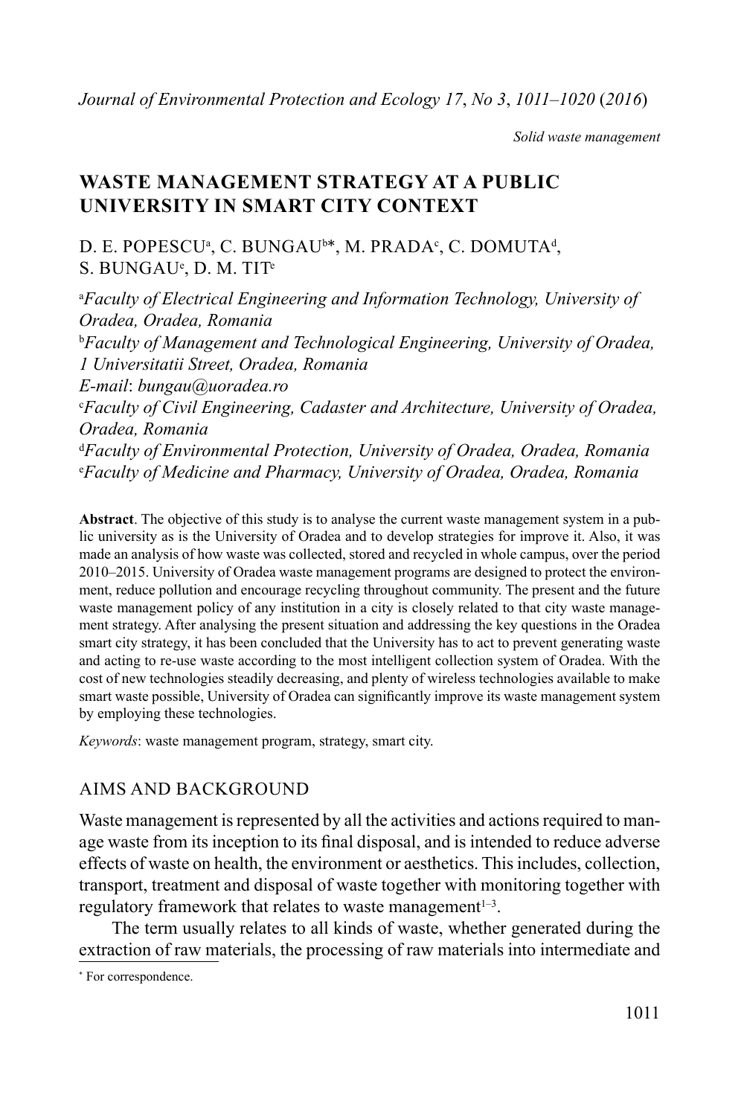*Solid waste management*

# **WASTE MANAGEMENT STRATEGY AT A PUBLIC UNIVERSITY IN SMART CITY CONTEXT**

D. E. POPESCU<sup>a</sup>, C. BUNGAU<sup>b\*</sup>, M. PRADA<sup>c</sup>, C. DOMUTA<sup>d</sup>,  $S.$   $\rm BUNGAU^e$ ,  $\rm D.$   $\rm M.$   $\rm TIT^e$ 

<sup>a</sup>Faculty of Electrical Engineering and Information Technology, University of *Oradea, Oradea, Romania* b *Faculty of Management and Technological Engineering, University of Oradea, 1 Universitatii Street, Oradea, Romania E-mail*: *bungau@uoradea.ro* c *Faculty of Civil Engineering, Cadaster and Architecture, University of Oradea, Oradea, Romania* d *Faculty of Environmental Protection, University of Oradea, Oradea, Romania* e *Faculty of Medicine and Pharmacy, University of Oradea, Oradea, Romania*

**Abstract**. The objective of this study is to analyse the current waste management system in a public university as is the University of Oradea and to develop strategies for improve it. Also, it was made an analysis of how waste was collected, stored and recycled in whole campus, over the period 2010–2015. University of Oradea waste management programs are designed to protect the environment, reduce pollution and encourage recycling throughout community. The present and the future waste management policy of any institution in a city is closely related to that city waste management strategy. After analysing the present situation and addressing the key questions in the Oradea smart city strategy, it has been concluded that the University has to act to prevent generating waste and acting to re-use waste according to the most intelligent collection system of Oradea. With the cost of new technologies steadily decreasing, and plenty of wireless technologies available to make smart waste possible, University of Oradea can significantly improve its waste management system by employing these technologies.

*Keywords*: waste management program, strategy, smart city.

## AIMS AND BACKGROUND

Waste management is represented by all the activities and actions required to manage waste from its inception to its final disposal, and is intended to reduce adverse effects of waste on health, the environment or aesthetics. This includes, collection, transport, treatment and disposal of waste together with monitoring together with regulatory framework that relates to waste management $1-3$ .

The term usually relates to all kinds of waste, whether generated during the extraction of raw materials, the processing of raw materials into intermediate and

<sup>\*</sup> For correspondence.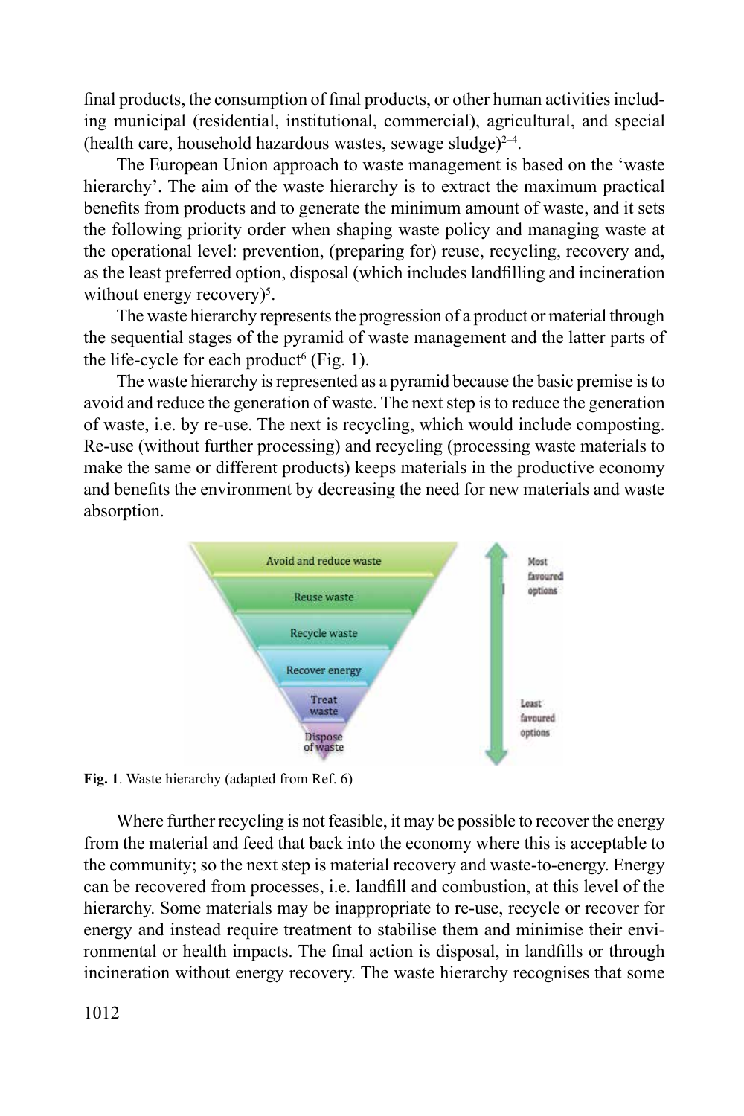final products, the consumption of final products, or other human activities including municipal (residential, institutional, commercial), agricultural, and special (health care, household hazardous wastes, sewage sludge) $^{2-4}$ .

The European Union approach to waste management is based on the 'waste hierarchy'. The aim of the waste hierarchy is to extract the maximum practical benefits from products and to generate the minimum amount of waste, and it sets the following priority order when shaping waste policy and managing waste at the operational level: prevention, (preparing for) reuse, recycling, recovery and, as the least preferred option, disposal (which includes landfilling and incineration without energy recovery)<sup>5</sup>.

The waste hierarchy represents the progression of a product or material through the sequential stages of the pyramid of waste management and the latter parts of the life-cycle for each product<sup>6</sup> (Fig. 1).

The waste hierarchy is represented as a pyramid because the basic premise is to avoid and reduce the generation of waste. The next step is to reduce the generation of waste, i.e. by re-use. The next is recycling, which would include composting. Re-use (without further processing) and recycling (processing waste materials to make the same or different products) keeps materials in the productive economy and benefits the environment by decreasing the need for new materials and waste absorption.



**Fig. 1**. Waste hierarchy (adapted from Ref. 6)

Where further recycling is not feasible, it may be possible to recover the energy from the material and feed that back into the economy where this is acceptable to the community; so the next step is material recovery and waste-to-energy. Energy can be recovered from processes, i.e. landfill and combustion, at this level of the hierarchy. Some materials may be inappropriate to re-use, recycle or recover for energy and instead require treatment to stabilise them and minimise their environmental or health impacts. The final action is disposal, in landfills or through incineration without energy recovery. The waste hierarchy recognises that some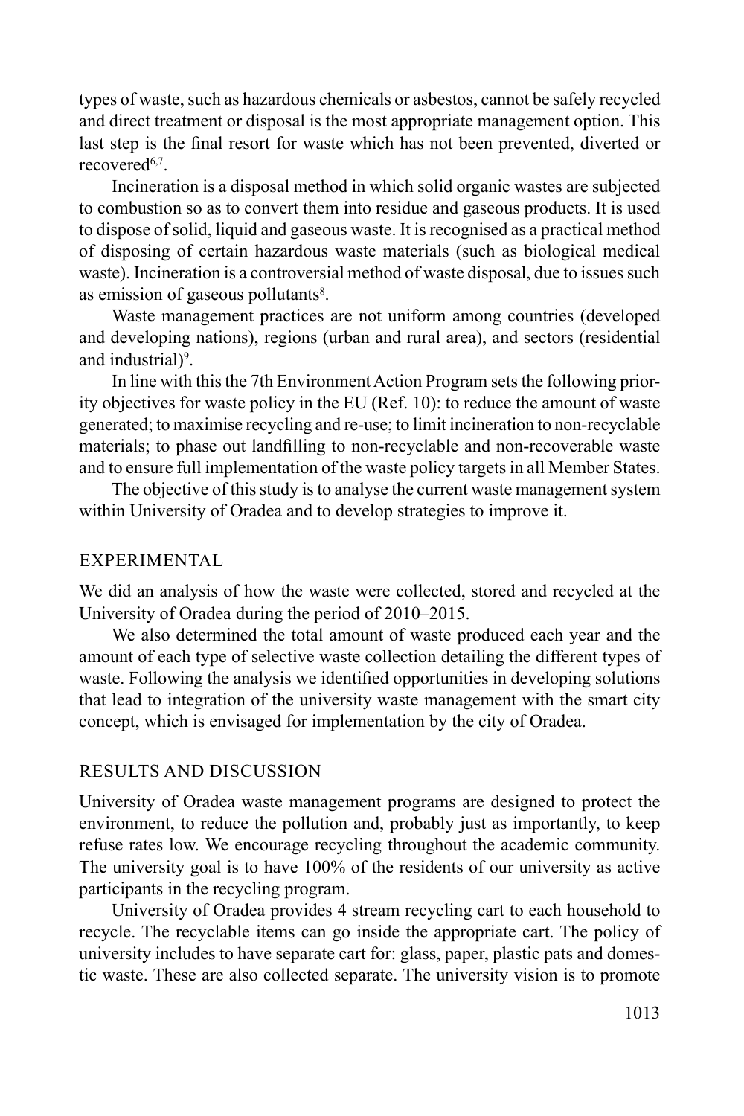types of waste, such as hazardous chemicals or asbestos, cannot be safely recycled and direct treatment or disposal is the most appropriate management option. This last step is the final resort for waste which has not been prevented, diverted or recovered<sup>6,7</sup>.

Incineration is a disposal method in which solid organic wastes are subjected to combustion so as to convert them into residue and gaseous products. It is used to dispose of solid, liquid and gaseous waste. It is recognised as a practical method of disposing of certain hazardous waste materials (such as biological medical waste). Incineration is a controversial method of waste disposal, due to issues such as emission of gaseous pollutants<sup>8</sup>.

Waste management practices are not uniform among countries (developed and developing nations), regions (urban and rural area), and sectors (residential and industrial)<sup>9</sup>.

In line with this the 7th Environment Action Program sets the following priority objectives for waste policy in the EU (Ref. 10): to reduce the amount of waste generated; to maximise recycling and re-use; to limit incineration to non-recyclable materials; to phase out landfilling to non-recyclable and non-recoverable waste and to ensure full implementation of the waste policy targets in all Member States.

The objective of this study is to analyse the current waste management system within University of Oradea and to develop strategies to improve it.

## EXPERIMENTAL

We did an analysis of how the waste were collected, stored and recycled at the University of Oradea during the period of 2010–2015.

We also determined the total amount of waste produced each year and the amount of each type of selective waste collection detailing the different types of waste. Following the analysis we identified opportunities in developing solutions that lead to integration of the university waste management with the smart city concept, which is envisaged for implementation by the city of Oradea.

## RESULTS AND DISCUSSION

University of Oradea waste management programs are designed to protect the environment, to reduce the pollution and, probably just as importantly, to keep refuse rates low. We encourage recycling throughout the academic community. The university goal is to have 100% of the residents of our university as active participants in the recycling program.

University of Oradea provides 4 stream recycling cart to each household to recycle. The recyclable items can go inside the appropriate cart. The policy of university includes to have separate cart for: glass, paper, plastic pats and domestic waste. These are also collected separate. The university vision is to promote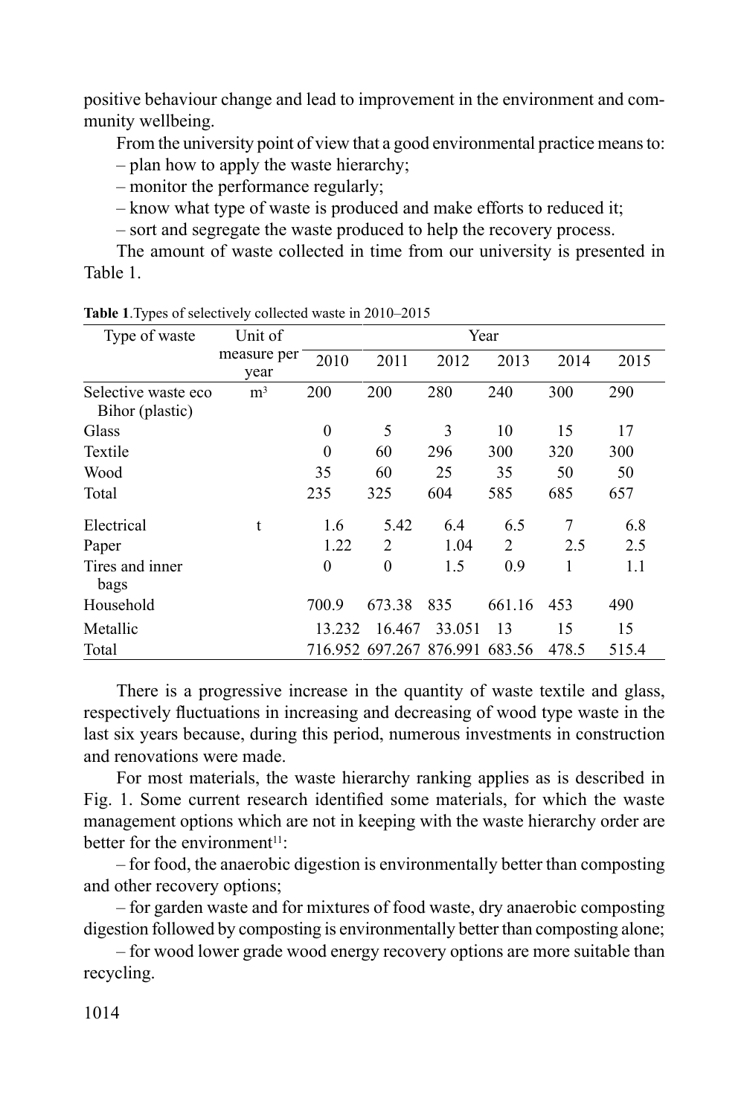positive behaviour change and lead to improvement in the environment and community wellbeing.

From the university point of view that a good environmental practice means to:

– plan how to apply the waste hierarchy;

– monitor the performance regularly;

– know what type of waste is produced and make efforts to reduced it;

– sort and segregate the waste produced to help the recovery process.

The amount of waste collected in time from our university is presented in Table 1.

| Type of waste                          | Unit of             | Year     |                         |        |        |       |       |  |  |  |  |
|----------------------------------------|---------------------|----------|-------------------------|--------|--------|-------|-------|--|--|--|--|
|                                        | measure per<br>year | 2010     | 2011                    | 2012   | 2013   | 2014  | 2015  |  |  |  |  |
| Selective waste eco<br>Bihor (plastic) | m <sup>3</sup>      | 200      | 200                     | 280    | 240    | 300   | 290   |  |  |  |  |
| Glass                                  |                     | $\theta$ | 5                       | 3      | 10     | 15    | 17    |  |  |  |  |
| Textile                                |                     | $\theta$ | 60                      | 296    | 300    | 320   | 300   |  |  |  |  |
| Wood                                   |                     | 35       | 60                      | 25     | 35     | 50    | 50    |  |  |  |  |
| Total                                  |                     | 235      | 325                     | 604    | 585    | 685   | 657   |  |  |  |  |
| Electrical                             | t                   | 1.6      | 5.42                    | 6.4    | 6.5    | 7     | 6.8   |  |  |  |  |
| Paper                                  |                     | 1.22     | $\mathfrak{D}$          | 1.04   | 2      | 2.5   | 2.5   |  |  |  |  |
| Tires and inner<br>bags                |                     | $\theta$ | $\theta$                | 1.5    | 0.9    | 1     | 1.1   |  |  |  |  |
| Household                              |                     | 700.9    | 673.38                  | 835    | 661.16 | 453   | 490   |  |  |  |  |
| Metallic                               |                     | 13.232   | 16.467                  | 33.051 | 13     | 15    | 15    |  |  |  |  |
| Total                                  |                     |          | 716.952 697.267 876.991 |        | 683.56 | 478.5 | 515.4 |  |  |  |  |

**Table 1**.Types of selectively collected waste in 2010–2015

There is a progressive increase in the quantity of waste textile and glass, respectively fluctuations in increasing and decreasing of wood type waste in the last six years because, during this period, numerous investments in construction and renovations were made.

For most materials, the waste hierarchy ranking applies as is described in Fig. 1. Some current research identified some materials, for which the waste management options which are not in keeping with the waste hierarchy order are better for the environment $11$ :

– for food, the anaerobic digestion is environmentally better than composting and other recovery options;

– for garden waste and for mixtures of food waste, dry anaerobic composting digestion followed by composting is environmentally better than composting alone;

– for wood lower grade wood energy recovery options are more suitable than recycling.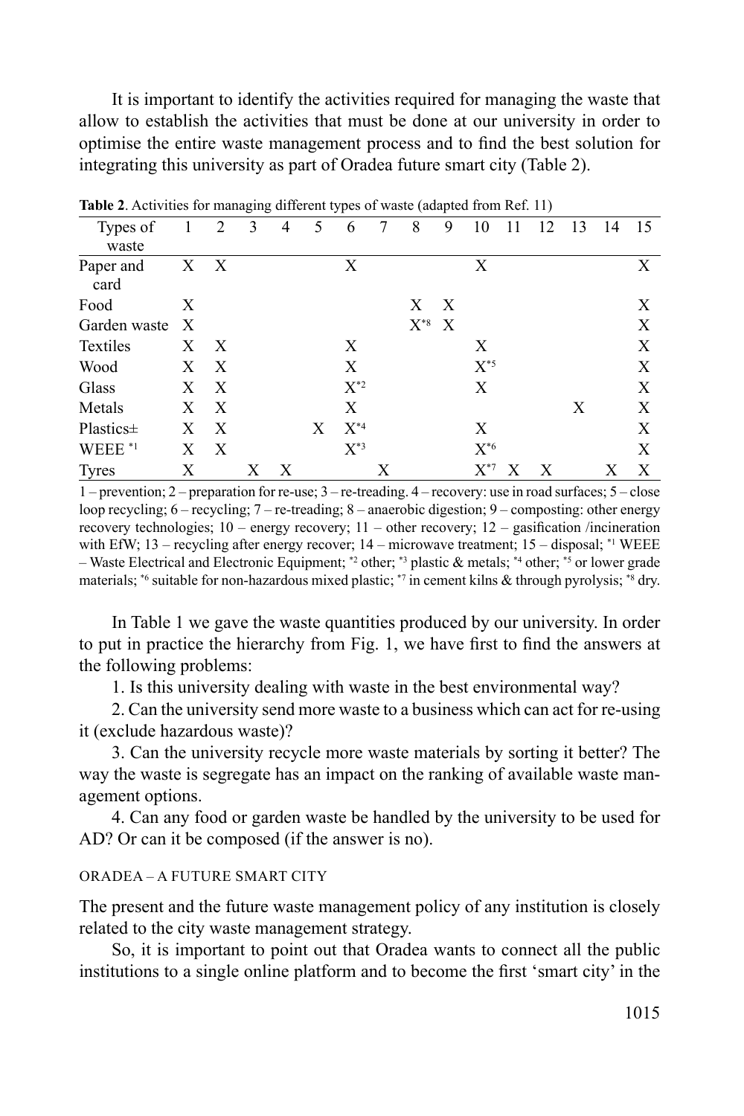It is important to identify the activities required for managing the waste that allow to establish the activities that must be done at our university in order to optimise the entire waste management process and to find the best solution for integrating this university as part of Oradea future smart city (Table 2).

| <b>Table 2.</b> Terrifies for managing anterent types of waste (adapted from Ref. 11) |   |              |   |   |   |          |   |                   |   |          |    |    |    |    |    |
|---------------------------------------------------------------------------------------|---|--------------|---|---|---|----------|---|-------------------|---|----------|----|----|----|----|----|
| Types of<br>waste                                                                     |   | $\mathbf{2}$ | 3 | 4 | 5 | 6        | 7 | 8                 | 9 | 10       | 11 | 12 | 13 | 14 | 15 |
| Paper and<br>card                                                                     |   | X X          |   |   |   | Χ        |   |                   |   | X        |    |    |    |    | X  |
| Food                                                                                  | X |              |   |   |   |          |   | X                 | X |          |    |    |    |    | X  |
| Garden waste                                                                          | X |              |   |   |   |          |   | $\mathrm{X}^{*8}$ | X |          |    |    |    |    | X  |
| <b>Textiles</b>                                                                       | X | X            |   |   |   | Χ        |   |                   |   | Χ        |    |    |    |    | X  |
| Wood                                                                                  | X | X            |   |   |   | X        |   |                   |   | $X^{*5}$ |    |    |    |    | X  |
| Glass                                                                                 | Χ | X            |   |   |   | $X^{*2}$ |   |                   |   | X        |    |    |    |    | X  |
| Metals                                                                                | X | X            |   |   |   | X        |   |                   |   |          |    |    | X  |    | X  |
| Plastics±                                                                             | X | X            |   |   | X | $X^{*4}$ |   |                   |   | X        |    |    |    |    | X  |
| WEEE <sup>*1</sup>                                                                    | Χ | X            |   |   |   | $X^{*3}$ |   |                   |   | $X^{*6}$ |    |    |    |    | X  |
| <b>Tyres</b>                                                                          | Х |              | X | X |   |          | Х |                   |   | $X^{*7}$ | X  | X  |    | Х  | X  |

**Table 2**. Activities for managing different types of waste (adapted from Ref. 11)

1 – prevention; 2 – preparation for re-use; 3 – re-treading. 4 – recovery: use in road surfaces; 5 – close loop recycling; 6 – recycling; 7 – re-treading; 8 – anaerobic digestion; 9 – composting: other energy recovery technologies; 10 – energy recovery; 11 – other recovery; 12 – gasification /incineration with EfW; 13 – recycling after energy recover; 14 – microwave treatment; 15 – disposal; \*1 WEEE – Waste Electrical and Electronic Equipment; \*2 other; \*3 plastic & metals; \*4 other; \*5 or lower grade materials;  $*6$  suitable for non-hazardous mixed plastic;  $*7$  in cement kilns & through pyrolysis;  $*8$  dry.

In Table 1 we gave the waste quantities produced by our university. In order to put in practice the hierarchy from Fig. 1, we have first to find the answers at the following problems:

1. Is this university dealing with waste in the best environmental way?

2. Can the university send more waste to a business which can act for re-using it (exclude hazardous waste)?

3. Can the university recycle more waste materials by sorting it better? The way the waste is segregate has an impact on the ranking of available waste management options.

4. Can any food or garden waste be handled by the university to be used for AD? Or can it be composed (if the answer is no).

#### ORADEA – A FUTURE SMART CITY

The present and the future waste management policy of any institution is closely related to the city waste management strategy.

So, it is important to point out that Oradea wants to connect all the public institutions to a single online platform and to become the first 'smart city' in the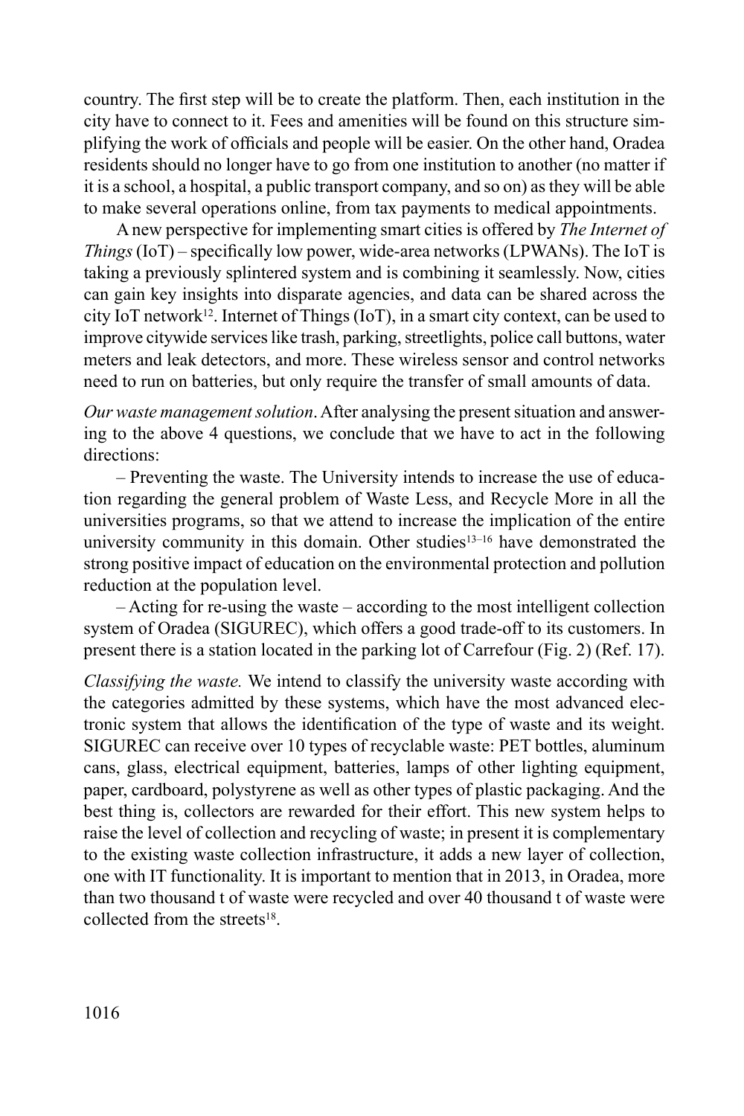country. The first step will be to create the platform. Then, each institution in the city have to connect to it. Fees and amenities will be found on this structure simplifying the work of officials and people will be easier. On the other hand, Oradea residents should no longer have to go from one institution to another (no matter if it is a school, a hospital, a public transport company, and so on) as they will be able to make several operations online, from tax payments to medical appointments.

A new perspective for implementing smart cities is offered by *The Internet of Things* (IoT) – specifically low power, wide-area networks (LPWANs). The IoT is taking a previously splintered system and is combining it seamlessly. Now, cities can gain key insights into disparate agencies, and data can be shared across the city IoT network<sup>12</sup>. Internet of Things (IoT), in a smart city context, can be used to improve citywide services like trash, parking, streetlights, police call buttons, water meters and leak detectors, and more. These wireless sensor and control networks need to run on batteries, but only require the transfer of small amounts of data.

*Our waste management solution*. After analysing the present situation and answering to the above 4 questions, we conclude that we have to act in the following directions:

– Preventing the waste. The University intends to increase the use of education regarding the general problem of Waste Less, and Recycle More in all the universities programs, so that we attend to increase the implication of the entire university community in this domain. Other studies<sup>13-16</sup> have demonstrated the strong positive impact of education on the environmental protection and pollution reduction at the population level.

– Acting for re-using the waste – according to the most intelligent collection system of Oradea (SIGUREC), which offers a good trade-off to its customers. In present there is a station located in the parking lot of Carrefour (Fig. 2) (Ref. 17).

*Classifying the waste.* We intend to classify the university waste according with the categories admitted by these systems, which have the most advanced electronic system that allows the identification of the type of waste and its weight. SIGUREC can receive over 10 types of recyclable waste: PET bottles, aluminum cans, glass, electrical equipment, batteries, lamps of other lighting equipment, paper, cardboard, polystyrene as well as other types of plastic packaging. And the best thing is, collectors are rewarded for their effort. This new system helps to raise the level of collection and recycling of waste; in present it is complementary to the existing waste collection infrastructure, it adds a new layer of collection, one with IT functionality. It is important to mention that in 2013, in Oradea, more than two thousand t of waste were recycled and over 40 thousand t of waste were collected from the streets $18$ .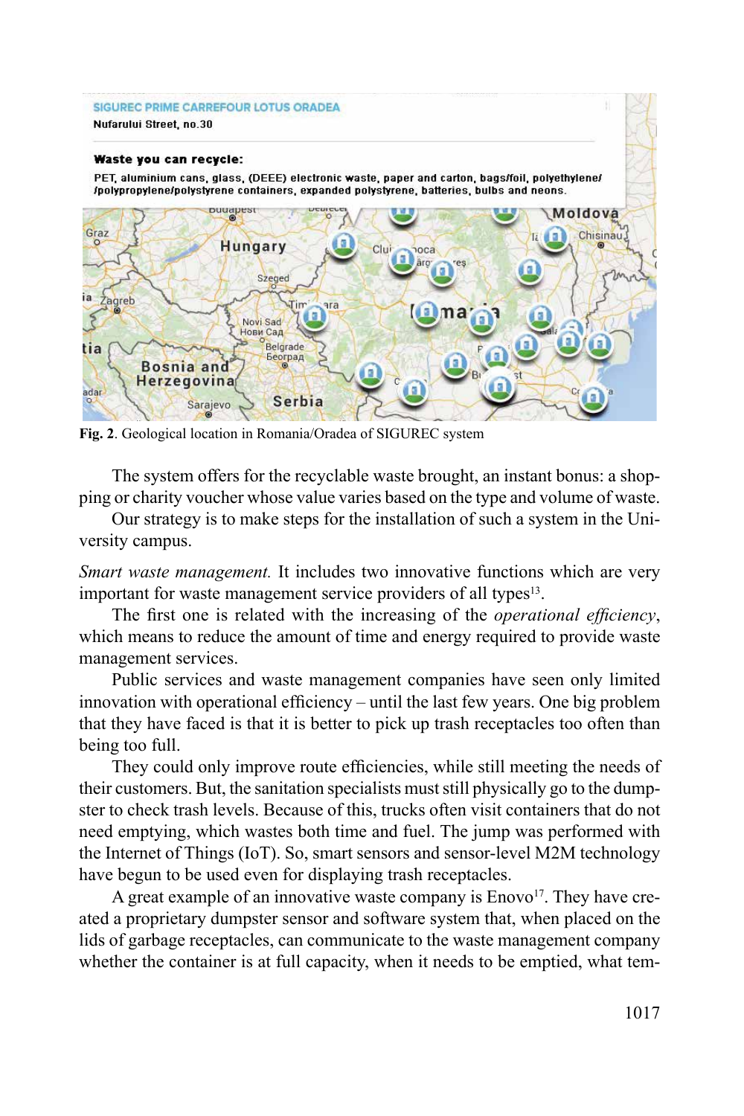#### SIGUREC PRIME CARREFOUR LOTUS ORADEA Nufarului Street, no.30

#### Waste you can recycle:

PET, aluminium cans, glass, (DEEE) electronic waste, paper and carton, bags/foil, polyethylene/ /polypropylene/polystyrene containers, expanded polystyrene, batteries, bulbs and neons.



**Fig. 2**. Geological location in Romania/Oradea of SIGUREC system

The system offers for the recyclable waste brought, an instant bonus: a shopping or charity voucher whose value varies based on the type and volume of waste.

Our strategy is to make steps for the installation of such a system in the University campus.

*Smart waste management.* It includes two innovative functions which are very important for waste management service providers of all types<sup>13</sup>.

The first one is related with the increasing of the *operational efficiency*, which means to reduce the amount of time and energy required to provide waste management services.

Public services and waste management companies have seen only limited innovation with operational efficiency – until the last few years. One big problem that they have faced is that it is better to pick up trash receptacles too often than being too full.

They could only improve route efficiencies, while still meeting the needs of their customers. But, the sanitation specialists must still physically go to the dumpster to check trash levels. Because of this, trucks often visit containers that do not need emptying, which wastes both time and fuel. The jump was performed with the Internet of Things (IoT). So, smart sensors and sensor-level M2M technology have begun to be used even for displaying trash receptacles.

A great example of an innovative waste company is Enovo<sup>17</sup>. They have created a proprietary dumpster sensor and software system that, when placed on the lids of garbage receptacles, can communicate to the waste management company whether the container is at full capacity, when it needs to be emptied, what tem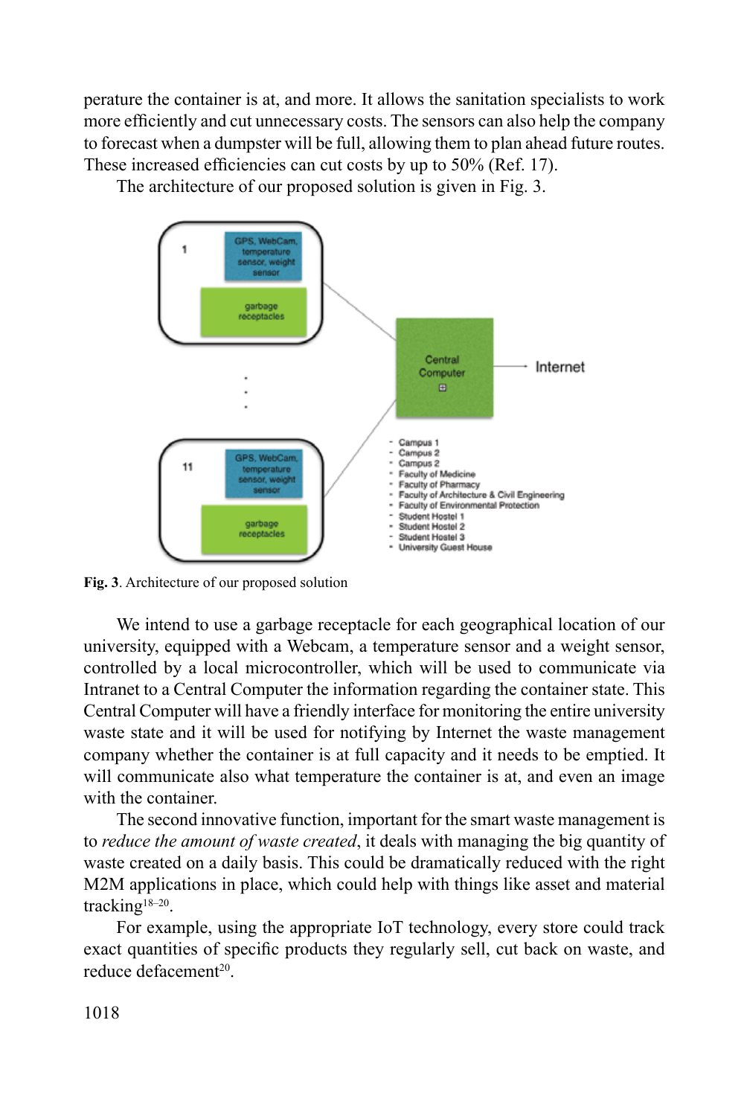perature the container is at, and more. It allows the sanitation specialists to work more efficiently and cut unnecessary costs. The sensors can also help the company to forecast when a dumpster will be full, allowing them to plan ahead future routes. These increased efficiencies can cut costs by up to 50% (Ref. 17).

The architecture of our proposed solution is given in Fig. 3.



**Fig. 3**. Architecture of our proposed solution

We intend to use a garbage receptacle for each geographical location of our university, equipped with a Webcam, a temperature sensor and a weight sensor, controlled by a local microcontroller, which will be used to communicate via Intranet to a Central Computer the information regarding the container state. This Central Computer will have a friendly interface for monitoring the entire university waste state and it will be used for notifying by Internet the waste management company whether the container is at full capacity and it needs to be emptied. It will communicate also what temperature the container is at, and even an image with the container.

The second innovative function, important for the smart waste management is to *reduce the amount of waste created*, it deals with managing the big quantity of waste created on a daily basis. This could be dramatically reduced with the right M2M applications in place, which could help with things like asset and material tracking<sup>18-20</sup>.

For example, using the appropriate IoT technology, every store could track exact quantities of specific products they regularly sell, cut back on waste, and reduce defacement<sup>20</sup>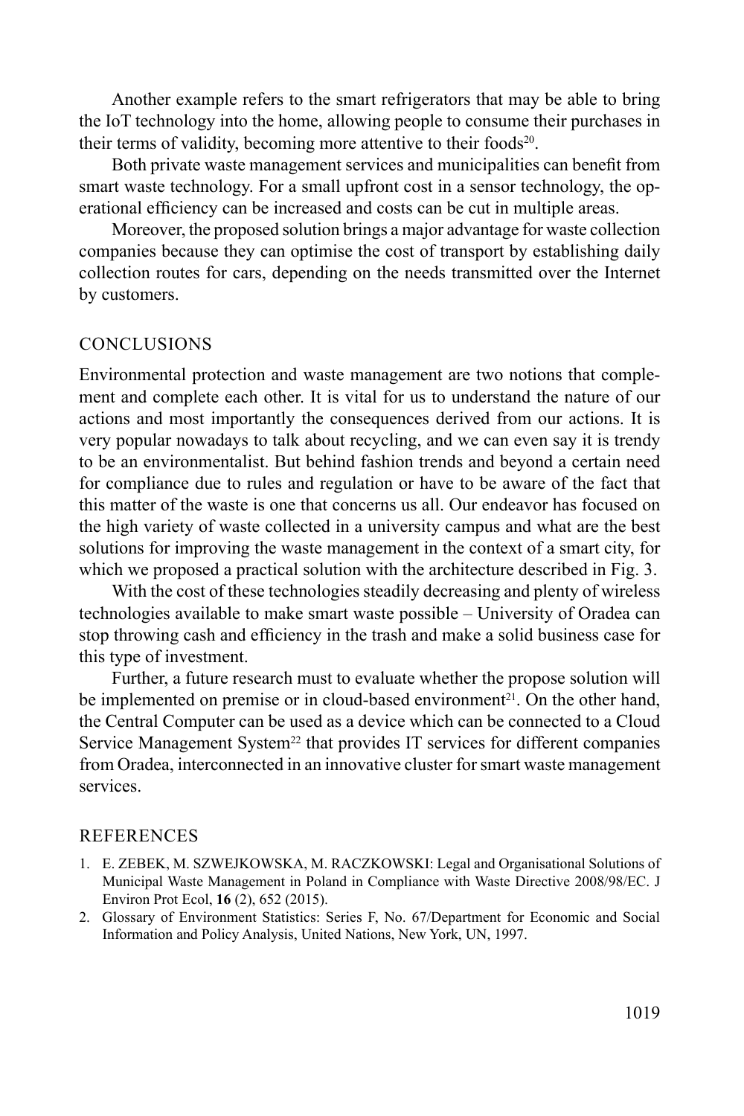Another example refers to the smart refrigerators that may be able to bring the IoT technology into the home, allowing people to consume their purchases in their terms of validity, becoming more attentive to their foods<sup>20</sup>.

Both private waste management services and municipalities can benefit from smart waste technology. For a small upfront cost in a sensor technology, the operational efficiency can be increased and costs can be cut in multiple areas.

Moreover, the proposed solution brings a major advantage for waste collection companies because they can optimise the cost of transport by establishing daily collection routes for cars, depending on the needs transmitted over the Internet by customers.

## **CONCLUSIONS**

Environmental protection and waste management are two notions that complement and complete each other. It is vital for us to understand the nature of our actions and most importantly the consequences derived from our actions. It is very popular nowadays to talk about recycling, and we can even say it is trendy to be an environmentalist. But behind fashion trends and beyond a certain need for compliance due to rules and regulation or have to be aware of the fact that this matter of the waste is one that concerns us all. Our endeavor has focused on the high variety of waste collected in a university campus and what are the best solutions for improving the waste management in the context of a smart city, for which we proposed a practical solution with the architecture described in Fig. 3.

With the cost of these technologies steadily decreasing and plenty of wireless technologies available to make smart waste possible – University of Oradea can stop throwing cash and efficiency in the trash and make a solid business case for this type of investment.

Further, a future research must to evaluate whether the propose solution will be implemented on premise or in cloud-based environment<sup>21</sup>. On the other hand, the Central Computer can be used as a device which can be connected to a Cloud Service Management System<sup>22</sup> that provides IT services for different companies from Oradea, interconnected in an innovative cluster for smart waste management services.

#### REFERENCES

- 1. E. ZEBEK, M. SZWEJKOWSKA, M. RACZKOWSKI: Legal and Organisational Solutions of Municipal Waste Management in Poland in Compliance with Waste Directive 2008/98/EC. J Environ Prot Ecol, **16** (2), 652 (2015).
- 2. Glossary of Environment Statistics: Series F, No. 67/Department for Economic and Social Information and Policy Analysis, United Nations, New York, UN, 1997.